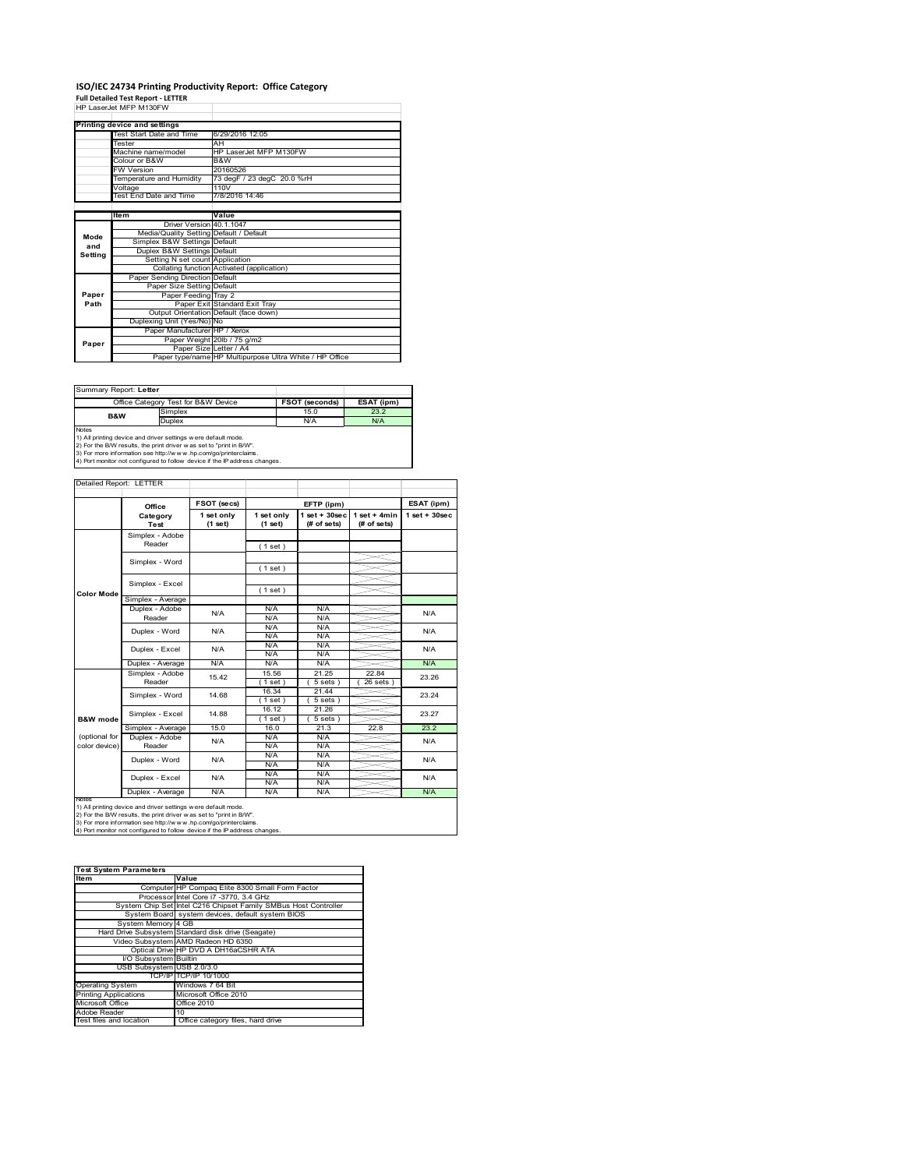# **ISO/IEC 24734 Printing Productivity Report: Office Category Full Detailed Test Report ‐ LETTER** HP LaserJet MFP M130FW

|         | Printing device and settings            |                                                         |
|---------|-----------------------------------------|---------------------------------------------------------|
|         | Test Start Date and Time                | 6/29/2016 12:05                                         |
|         | Tester                                  | AH                                                      |
|         | Machine name/model                      | HP LaserJet MFP M130FW                                  |
|         | Colour or B&W                           | B&W                                                     |
|         | <b>FW Version</b>                       | 20160526                                                |
|         | Temperature and Humidity                | 73 degF / 23 degC 20.0 %rH                              |
|         | Voltage                                 | 110V                                                    |
|         | Test End Date and Time                  | 7/8/2016 14:46                                          |
|         |                                         |                                                         |
|         | <b>Item</b>                             | Value                                                   |
|         | Driver Version 40.1.1047                |                                                         |
| Mode    | Media/Quality Setting Default / Default |                                                         |
| and     | Simplex B&W Settings Default            |                                                         |
|         | Duplex B&W Settings Default             |                                                         |
| Setting | Setting N set count Application         |                                                         |
|         |                                         | Collating function Activated (application)              |
|         | Paper Sending Direction Default         |                                                         |
|         | Paper Size Setting Default              |                                                         |
| Paper   | Paper Feeding Tray 2                    |                                                         |
| Path    |                                         | Paper Exit Standard Exit Tray                           |
|         |                                         | Output Orientation Default (face down)                  |
|         | Duplexing Unit (Yes/No) No              |                                                         |
|         | Paper Manufacturer HP / Xerox           |                                                         |
| Paper   |                                         | Paper Weight 20lb / 75 g/m2                             |
|         | Paper Size Letter / A4                  |                                                         |
|         |                                         | Paper type/name HP Multipurpose Ultra White / HP Office |

Summary Report: **Letter**

| ------------------------            |                                                                            |                       |            |  |  |  |
|-------------------------------------|----------------------------------------------------------------------------|-----------------------|------------|--|--|--|
|                                     |                                                                            |                       |            |  |  |  |
| Office Category Test for B&W Device |                                                                            | <b>FSOT (seconds)</b> | ESAT (ipm) |  |  |  |
| <b>B&amp;W</b>                      | Simplex                                                                    | 15.0                  | 23.2       |  |  |  |
|                                     | <b>Duplex</b>                                                              | N/A                   | N/A        |  |  |  |
| <b>Notes</b>                        |                                                                            |                       |            |  |  |  |
|                                     | 1) All printing device and driver settings were default mode.              |                       |            |  |  |  |
|                                     | 2) For the B/W results, the print driver was set to "print in B/W".        |                       |            |  |  |  |
|                                     | 3) For more information see http://w w w .hp.com/go/printerclaims.         |                       |            |  |  |  |
|                                     | 4) Port monitor not configured to follow device if the IP address changes. |                       |            |  |  |  |

T

#### Detailed Report: LETTER

|                                |                           |                       |                       |                                   |                                | ESAT (ipm)        |
|--------------------------------|---------------------------|-----------------------|-----------------------|-----------------------------------|--------------------------------|-------------------|
|                                | Office                    | FSOT (secs)           |                       | EFTP (ipm)                        |                                |                   |
|                                | Category<br>Test          | 1 set only<br>(1 set) | 1 set only<br>(1 set) | $1$ set + $30$ sec<br>(# of sets) | $1 set + 4 min$<br>(# of sets) | $1$ set $+30$ sec |
|                                | Simplex - Adobe<br>Reader |                       | (1 set)               |                                   |                                |                   |
|                                | Simplex - Word            |                       | (1 set)               |                                   |                                |                   |
| <b>Color Mode</b>              | Simplex - Excel           |                       | (1 set)               |                                   |                                |                   |
|                                | Simplex - Average         |                       |                       |                                   |                                |                   |
|                                | Duplex - Adobe<br>Reader  | N/A                   | N/A<br>N/A            | N/A<br>N/A                        |                                | N/A               |
|                                | Duplex - Word             | N/A                   | N/A<br>N/A            | N/A<br>N/A                        |                                | N/A               |
|                                | Duplex - Excel            | N/A                   | N/A<br>N/A            | N/A<br>N/A                        |                                | N/A               |
|                                | Duplex - Average          | N/A                   | N/A                   | N/A                               |                                | N/A               |
|                                | Simplex - Adobe<br>Reader | 15.42                 | 15.56<br>$1$ set)     | 21.25<br>$5 sets$ )               | 22.84<br>$26$ sets $)$         | 23.26             |
|                                | Simplex - Word            | 14.68                 | 16.34<br>$1$ set)     | 21.44<br>$5 sets$ )               |                                | 23.24             |
| B&W mode                       | Simplex - Excel           | 14.88                 | 16.12<br>$1$ set)     | 21.26<br>$5 sets$ )               |                                | 23.27             |
|                                | Simplex - Average         | 15.0                  | 16.0                  | 21.3                              | 22.8                           | 23.2              |
| (optional for<br>color device) | Duplex - Adobe<br>Reader  | N/A                   | N/A<br>N/A            | N/A<br>N/A                        |                                | N/A               |
|                                | Duplex - Word             | N/A                   | N/A<br>N/A            | N/A<br>N/A                        |                                | N/A               |
|                                | Duplex - Excel            | N/A                   | N/A<br>N/A            | N/A<br>N/A                        |                                | N/A               |
|                                | Duplex - Average          | N/A                   | N/A                   | N/A                               |                                | N/A               |

Ī

| <b>Test System Parameters</b> |                                                                 |  |  |  |
|-------------------------------|-----------------------------------------------------------------|--|--|--|
| Item                          | Value                                                           |  |  |  |
|                               | Computer HP Compaq Elite 8300 Small Form Factor                 |  |  |  |
|                               | Processor Intel Core i7 -3770, 3.4 GHz                          |  |  |  |
|                               | System Chip Set Intel C216 Chipset Family SMBus Host Controller |  |  |  |
|                               | System Board system devices, default system BIOS                |  |  |  |
| System Memory 4 GB            |                                                                 |  |  |  |
|                               | Hard Drive Subsystem Standard disk drive (Seagate)              |  |  |  |
|                               | Video Subsystem AMD Radeon HD 6350                              |  |  |  |
|                               | Optical Drive HP DVD A DH16aCSHR ATA                            |  |  |  |
| I/O Subsystem Builtin         |                                                                 |  |  |  |
| USB Subsystem USB 2.0/3.0     |                                                                 |  |  |  |
|                               | TCP/IP TCP/IP 10/1000                                           |  |  |  |
| <b>Operating System</b>       | Windows 7 64 Bit                                                |  |  |  |
| <b>Printing Applications</b>  | Microsoft Office 2010                                           |  |  |  |
| Microsoft Office              | Office 2010                                                     |  |  |  |
| Adobe Reader                  | 10                                                              |  |  |  |
| Test files and location       | Office category files, hard drive                               |  |  |  |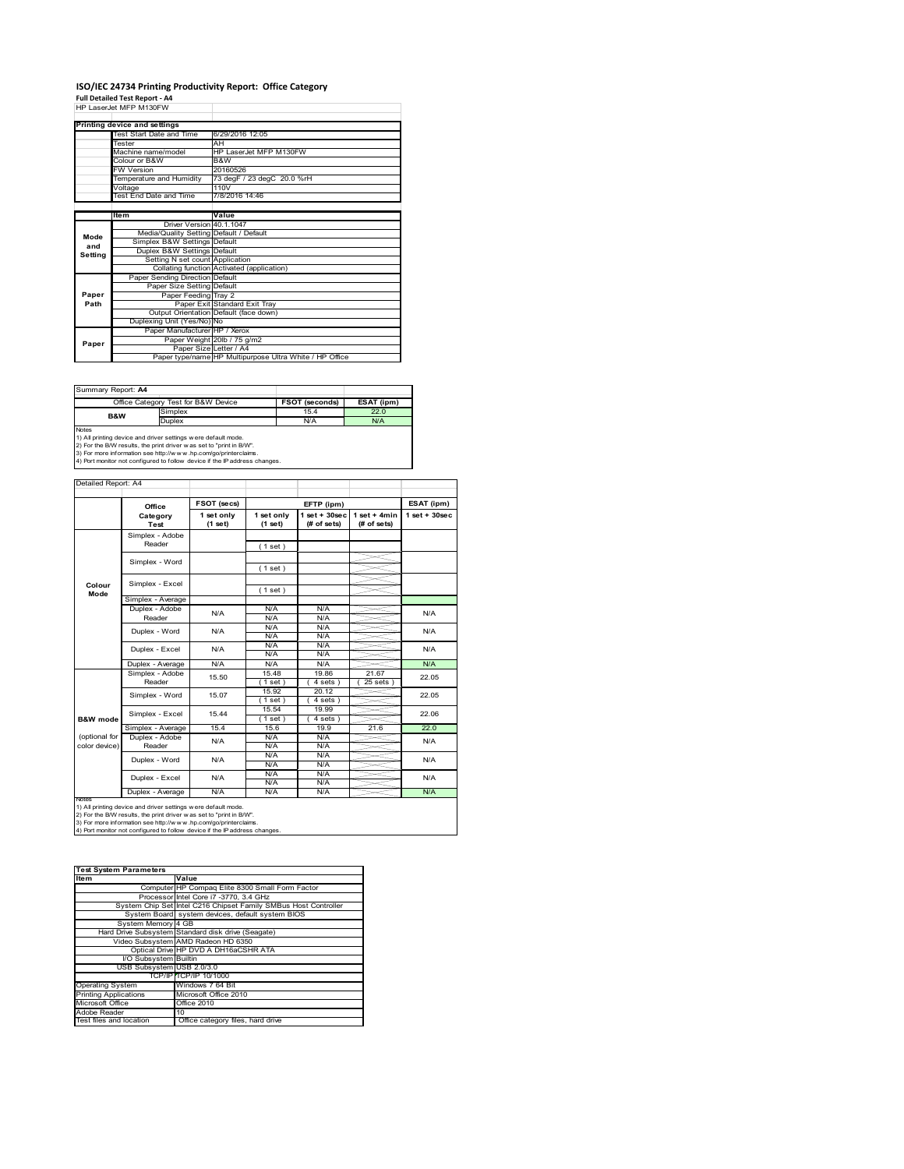# **ISO/IEC 24734 Printing Productivity Report: Office Category Full Detailed Test Report ‐ A4** HP LaserJet MFP M130FW

|         | Printing device and settings            |                                                         |
|---------|-----------------------------------------|---------------------------------------------------------|
|         | <b>Test Start Date and Time</b>         | 6/29/2016 12:05                                         |
|         | Tester                                  | AH                                                      |
|         | Machine name/model                      | HP LaserJet MFP M130FW                                  |
|         | Colour or B&W                           | B&W                                                     |
|         | <b>FW Version</b>                       | 20160526                                                |
|         | Temperature and Humidity                | 73 degF / 23 degC 20.0 %rH                              |
|         | Voltage                                 | 110V                                                    |
|         | Test End Date and Time                  | 7/8/2016 14:46                                          |
|         |                                         |                                                         |
|         | <b>Item</b>                             | Value                                                   |
|         | Driver Version 40.1.1047                |                                                         |
| Mode    | Media/Quality Setting Default / Default |                                                         |
| and     | Simplex B&W Settings Default            |                                                         |
| Setting | Duplex B&W Settings Default             |                                                         |
|         | Setting N set count Application         |                                                         |
|         |                                         | Collating function Activated (application)              |
|         | Paper Sending Direction Default         |                                                         |
|         | Paper Size Setting Default              |                                                         |
| Paper   | Paper Feeding Tray 2                    |                                                         |
| Path    |                                         | Paper Exit Standard Exit Tray                           |
|         |                                         | Output Orientation Default (face down)                  |
|         | Duplexing Unit (Yes/No) No              |                                                         |
|         | Paper Manufacturer HP / Xerox           |                                                         |
| Paper   |                                         | Paper Weight 20lb / 75 g/m2                             |
|         | Paper Size Letter / A4                  |                                                         |
|         |                                         | Paper type/name HP Multipurpose Ultra White / HP Office |

Summary Report: **A4**

|                | Office Category Test for B&W Device                           | <b>FSOT (seconds)</b> | ESAT (ipm) |  |  |  |  |
|----------------|---------------------------------------------------------------|-----------------------|------------|--|--|--|--|
| <b>B&amp;W</b> | Simplex                                                       | 15.4                  | 22.0       |  |  |  |  |
|                | <b>Duplex</b>                                                 | N/A                   | N/A        |  |  |  |  |
| <b>Notes</b>   |                                                               |                       |            |  |  |  |  |
|                | 1) All printing device and driver settings were default mode. |                       |            |  |  |  |  |

1) All printing device and driver settings were default mode.<br>2) For the B/W results, the print driver was set to "print in B/W".<br>3) For more information see http://www.hp.com/go/printerclaims.<br>4) Port monitor not configur

|                                | FSOT (secs)                       |                       |                       | ESAT (ipm)                                      |                               |                    |
|--------------------------------|-----------------------------------|-----------------------|-----------------------|-------------------------------------------------|-------------------------------|--------------------|
|                                | Office<br>Category<br><b>Test</b> | 1 set only<br>(1 set) | 1 set only<br>(1 set) | EFTP (ipm)<br>$1$ set + $30$ sec<br>(# of sets) | $1$ set + 4min<br>(# of sets) | $1$ set + $30$ sec |
|                                | Simplex - Adobe<br>Reader         |                       | (1 set)               |                                                 |                               |                    |
|                                | Simplex - Word                    |                       | (1 set)               |                                                 |                               |                    |
| Colour<br>Mode                 | Simplex - Excel                   |                       | (1 set)               |                                                 |                               |                    |
|                                | Simplex - Average                 |                       |                       |                                                 |                               |                    |
|                                | Duplex - Adobe<br>Reader          | N/A                   | N/A<br>N/A            | N/A<br>N/A                                      |                               | N/A                |
|                                | Duplex - Word                     | N/A                   | N/A<br>N/A            | N/A<br>N/A                                      |                               | N/A                |
|                                | Duplex - Excel                    | N/A                   | N/A<br>N/A            | N/A<br>N/A                                      |                               | N/A                |
|                                | Duplex - Average                  | N/A                   | N/A                   | N/A                                             |                               | N/A                |
|                                | Simplex - Adobe<br>Reader         | 15.50                 | 15.48<br>$1$ set)     | 19.86<br>4 sets)                                | 21.67<br>25 sets              | 22.05              |
|                                | Simplex - Word                    | 15.07                 | 15.92<br>$1$ set)     | 20.12<br>4 sets)                                |                               | 22.05              |
| <b>B&amp;W</b> mode            | Simplex - Excel                   | 15.44                 | 15.54<br>$1$ set)     | 19.99<br>4 sets)                                |                               | 22.06              |
|                                | Simplex - Average                 | 15.4                  | 15.6                  | 19.9                                            | 21.6                          | 22.0               |
| (optional for<br>color device) | Duplex - Adobe<br>Reader          | N/A                   | N/A<br>N/A            | N/A<br>N/A                                      |                               | N/A                |
|                                | Duplex - Word                     | N/A                   | N/A<br>N/A            | N/A<br>N/A                                      |                               | N/A                |
|                                | Duplex - Excel                    | N/A                   | N/A<br>N/A            | N/A<br>N/A                                      |                               | N/A                |
|                                | Duplex - Average                  | N/A                   | N/A                   | $\overline{\mathsf{N}}\mathsf{A}$               |                               | N/A                |

Notes<br>1) All printing device and driver settings were default mode.<br>2) For the B/W results, the print driver was set to "print in B/W".<br>3) For more information see http://www.hp.com/go/printerclaims.<br>4) Por more informati

| <b>Test System Parameters</b> |                                                                 |  |  |  |
|-------------------------------|-----------------------------------------------------------------|--|--|--|
| <b>Item</b>                   | Value                                                           |  |  |  |
|                               | Computer HP Compaq Elite 8300 Small Form Factor                 |  |  |  |
|                               | Processor Intel Core i7 -3770, 3.4 GHz                          |  |  |  |
|                               | System Chip Set Intel C216 Chipset Family SMBus Host Controller |  |  |  |
|                               | System Board system devices, default system BIOS                |  |  |  |
| System Memory 4 GB            |                                                                 |  |  |  |
|                               | Hard Drive Subsystem Standard disk drive (Seagate)              |  |  |  |
|                               | Video Subsystem AMD Radeon HD 6350                              |  |  |  |
|                               | Optical Drive HP DVD A DH16aCSHR ATA                            |  |  |  |
| I/O Subsystem Builtin         |                                                                 |  |  |  |
| USB Subsystem USB 2.0/3.0     |                                                                 |  |  |  |
|                               | TCP/IP TCP/IP 10/1000                                           |  |  |  |
| <b>Operating System</b>       | Windows 7 64 Bit                                                |  |  |  |
| <b>Printing Applications</b>  | Microsoft Office 2010                                           |  |  |  |
| Microsoft Office              | Office 2010                                                     |  |  |  |
| Adobe Reader                  | 10                                                              |  |  |  |
| Test files and location       | Office category files, hard drive                               |  |  |  |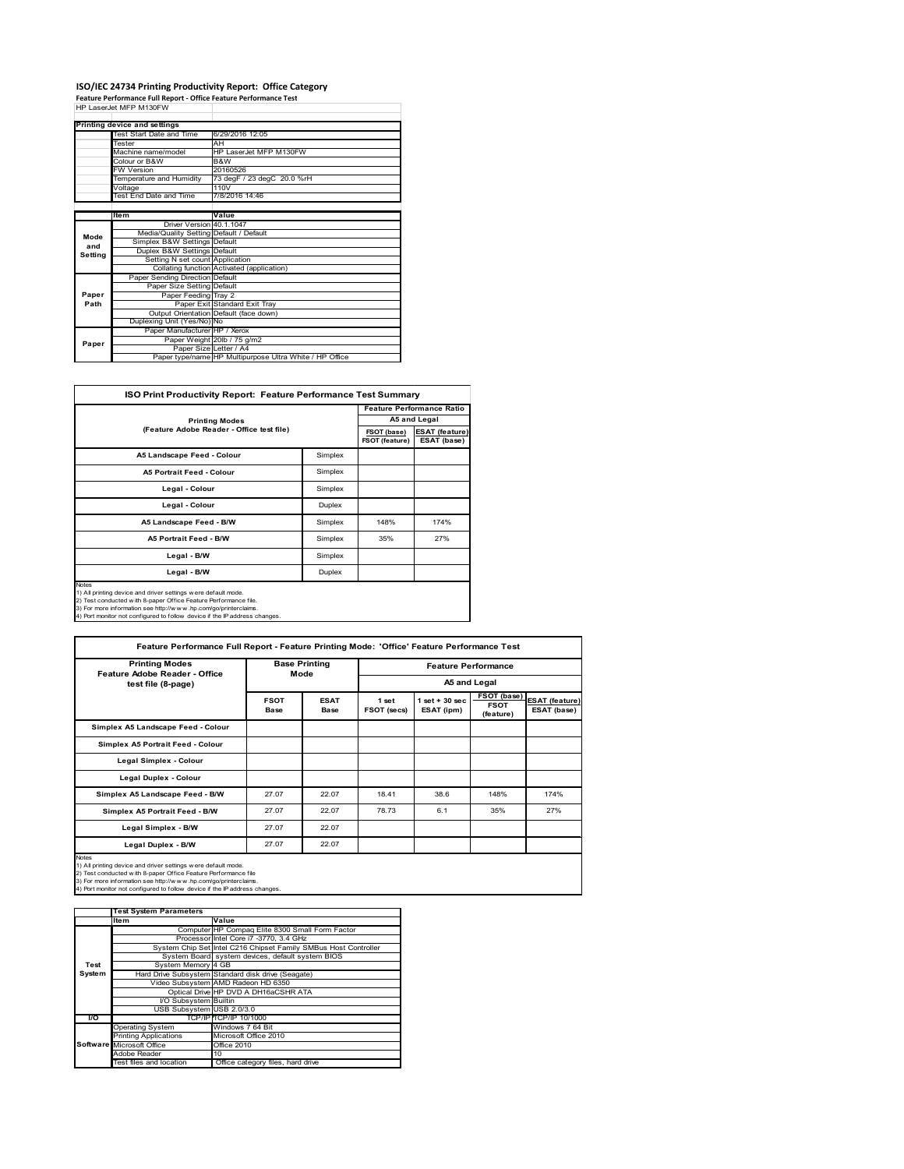# **ISO/IEC 24734 Printing Productivity Report: Office Category Feature Performance Full Report ‐ Office Feature Performance Test** HP LaserJet MFP M130FW

|         | Printing device and settings            |                                                         |
|---------|-----------------------------------------|---------------------------------------------------------|
|         | Test Start Date and Time                | 6/29/2016 12:05                                         |
|         | Tester                                  | AH                                                      |
|         | Machine name/model                      | HP LaserJet MFP M130FW                                  |
|         | Colour or B&W                           | B&W                                                     |
|         | <b>FW Version</b>                       | 20160526                                                |
|         | Temperature and Humidity                | 73 degF / 23 degC 20.0 %rH                              |
|         | Voltage                                 | 110V                                                    |
|         | Test End Date and Time                  | 7/8/2016 14:46                                          |
|         |                                         |                                                         |
|         | <b>Item</b>                             | Value                                                   |
|         | Driver Version 40.1.1047                |                                                         |
| Mode    | Media/Quality Setting Default / Default |                                                         |
| and     | Simplex B&W Settings Default            |                                                         |
| Setting | Duplex B&W Settings Default             |                                                         |
|         | Setting N set count Application         |                                                         |
|         |                                         | Collating function Activated (application)              |
|         | Paper Sending Direction Default         |                                                         |
|         | Paper Size Setting Default              |                                                         |
| Paper   | Paper Feeding Tray 2                    |                                                         |
| Path    |                                         | Paper Exit Standard Exit Tray                           |
|         |                                         | Output Orientation Default (face down)                  |
|         | Duplexing Unit (Yes/No) No              |                                                         |
|         | Paper Manufacturer HP / Xerox           |                                                         |
| Paper   |                                         | Paper Weight 20lb / 75 g/m2                             |
|         | Paper Size Letter / A4                  |                                                         |
|         |                                         | Paper type/name HP Multipurpose Ultra White / HP Office |

T

| ISO Print Productivity Report: Feature Performance Test Summary |
|-----------------------------------------------------------------|
|                                                                 |

|                                                                                                                    | <b>Feature Performance Ratio</b> |
|--------------------------------------------------------------------------------------------------------------------|----------------------------------|
|                                                                                                                    | A5 and Legal                     |
| (Feature Adobe Reader - Office test file)<br><b>ESAT (feature)</b><br>FSOT (base)<br>FSOT (feature)<br>ESAT (base) |                                  |
|                                                                                                                    |                                  |
|                                                                                                                    |                                  |
|                                                                                                                    |                                  |
|                                                                                                                    |                                  |
| 148%                                                                                                               | 174%                             |
| 35%                                                                                                                | 27%                              |
|                                                                                                                    |                                  |
|                                                                                                                    |                                  |
|                                                                                                                    |                                  |

 $\Gamma$ 

1) All printing device and driver settings were default mode.<br>2) Test conducted with 8-paper Office Feature Performance file.<br>3) For more information see http://www.hp.com/go/printerclaims.<br>4) Port monitor not configured t

| <b>Printing Modes</b>                                                                                                                                                                                                                                                                            | <b>Base Printing</b><br>Mode |                            | <b>Feature Performance</b><br>A5 and Legal |                                 |                                         |                                      |
|--------------------------------------------------------------------------------------------------------------------------------------------------------------------------------------------------------------------------------------------------------------------------------------------------|------------------------------|----------------------------|--------------------------------------------|---------------------------------|-----------------------------------------|--------------------------------------|
| Feature Adobe Reader - Office<br>test file (8-page)                                                                                                                                                                                                                                              |                              |                            |                                            |                                 |                                         |                                      |
|                                                                                                                                                                                                                                                                                                  | <b>FSOT</b><br>Base          | <b>ESAT</b><br><b>Base</b> | 1 set<br>FSOT (secs)                       | $1$ set $+30$ sec<br>ESAT (ipm) | FSOT (base)<br><b>FSOT</b><br>(feature) | <b>ESAT (feature)</b><br>ESAT (base) |
| Simplex A5 Landscape Feed - Colour                                                                                                                                                                                                                                                               |                              |                            |                                            |                                 |                                         |                                      |
| Simplex A5 Portrait Feed - Colour                                                                                                                                                                                                                                                                |                              |                            |                                            |                                 |                                         |                                      |
| Legal Simplex - Colour                                                                                                                                                                                                                                                                           |                              |                            |                                            |                                 |                                         |                                      |
| <b>Legal Duplex - Colour</b>                                                                                                                                                                                                                                                                     |                              |                            |                                            |                                 |                                         |                                      |
| Simplex A5 Landscape Feed - B/W                                                                                                                                                                                                                                                                  | 27.07                        | 22.07                      | 18.41                                      | 38.6                            | 148%                                    | 174%                                 |
| Simplex A5 Portrait Feed - B/W                                                                                                                                                                                                                                                                   | 27.07                        | 22.07                      | 78.73                                      | 6.1                             | 35%                                     | 27%                                  |
| Legal Simplex - B/W                                                                                                                                                                                                                                                                              | 27.07                        | 22.07                      |                                            |                                 |                                         |                                      |
| Legal Duplex - B/W                                                                                                                                                                                                                                                                               | 27.07                        | 22.07                      |                                            |                                 |                                         |                                      |
| <b>Notes</b><br>1) All printing device and driver settings were default mode.<br>2) Test conducted with 8-paper Office Feature Performance file<br>3) For more information see http://www.hp.com/go/printerclaims.<br>4) Port monitor not configured to follow, device if the IP address changes |                              |                            |                                            |                                 |                                         |                                      |

4) Port monitor not configured to follow device if the IP address changes.

|        | <b>Test System Parameters</b> |                                                                 |
|--------|-------------------------------|-----------------------------------------------------------------|
|        | <b>Item</b>                   | Value                                                           |
|        |                               | Computer HP Compaq Elite 8300 Small Form Factor                 |
|        |                               | Processor Intel Core i7 -3770, 3.4 GHz                          |
|        |                               | System Chip Set Intel C216 Chipset Family SMBus Host Controller |
|        |                               | System Board system devices, default system BIOS                |
| Test   | System Memory 4 GB            |                                                                 |
| System |                               | Hard Drive Subsystem Standard disk drive (Seagate)              |
|        |                               | Video Subsystem AMD Radeon HD 6350                              |
|        |                               | Optical Drive HP DVD A DH16aCSHR ATA                            |
|        | I/O Subsystem Builtin         |                                                                 |
|        | USB Subsystem USB 2.0/3.0     |                                                                 |
| 1/0    |                               | TCP/IPITCP/IP 10/1000                                           |
|        | <b>Operating System</b>       | Windows 7 64 Bit                                                |
|        | <b>Printing Applications</b>  | Microsoft Office 2010                                           |
|        | Software Microsoft Office     | Office 2010                                                     |
|        | Adobe Reader                  | 10                                                              |
|        | Test files and location       | Office category files, hard drive                               |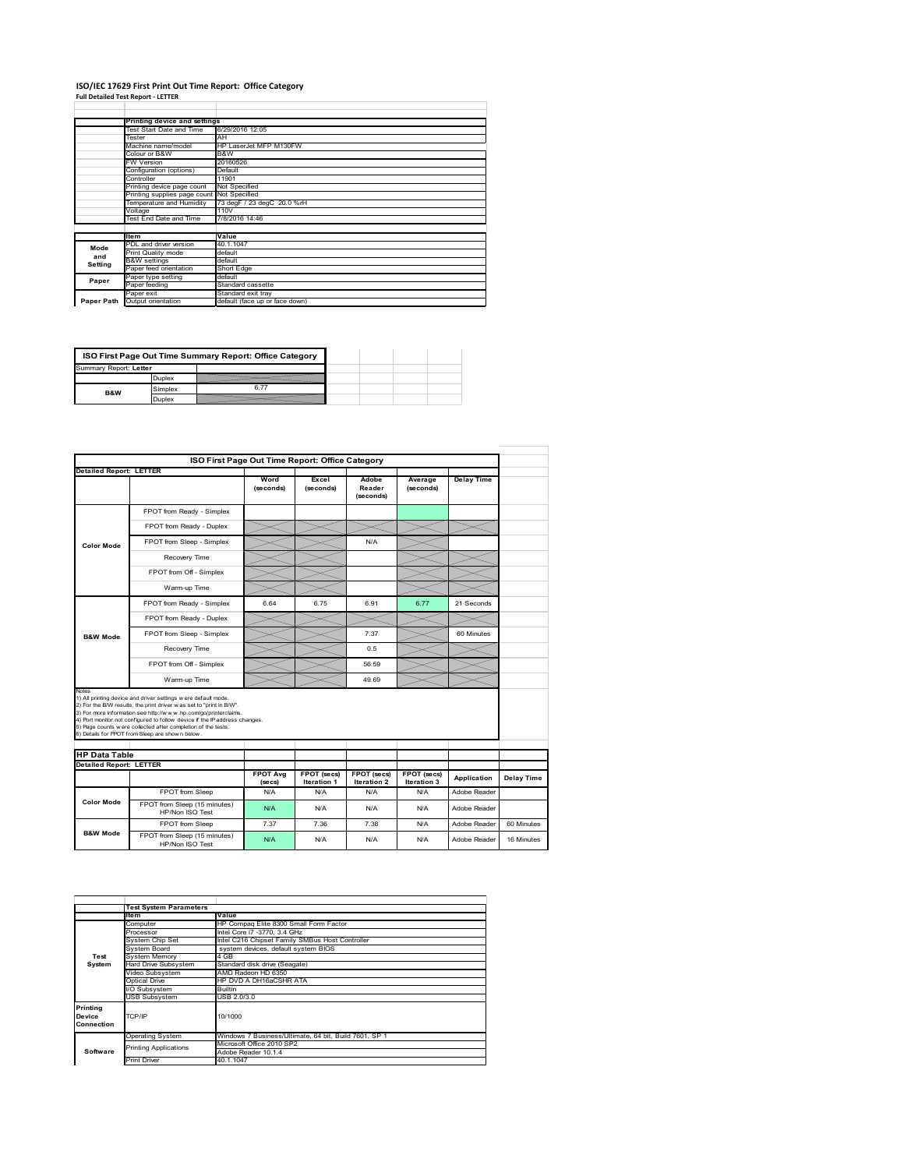### **ISO/IEC 17629 First Print Out Time Report: Office Category Full Detailed Test Report ‐ LETTER**

|            | Printing device and settings               |                                |
|------------|--------------------------------------------|--------------------------------|
|            | Test Start Date and Time                   | 6/29/2016 12:05                |
|            | Tester                                     | AH                             |
|            | Machine name/model                         | HP LaserJet MFP M130FW         |
|            | Colour or B&W                              | B&W                            |
|            | <b>FW Version</b>                          | 20160526                       |
|            | Configuration (options)                    | Default                        |
|            | Controller                                 | 11901                          |
|            | Printing device page count                 | Not Specified                  |
|            | Printing supplies page count Not Specified |                                |
|            | Temperature and Humidity                   | 73 degF / 23 degC 20.0 %rH     |
|            | Voltage                                    | 110V                           |
|            | Test End Date and Time                     | 7/8/2016 14:46                 |
|            |                                            |                                |
|            | <b>Item</b>                                | Value                          |
| Mode       | PDL and driver version                     | 40.1.1047                      |
| and        | Print Quality mode                         | default                        |
| Setting    | <b>B&amp;W</b> settings                    | default                        |
|            | Paper feed orientation                     | Short Edge                     |
| Paper      | Paper type setting                         | default                        |
|            | Paper feeding                              | Standard cassette              |
|            | Paper exit                                 | Standard exit tray             |
| Paper Path | Output orientation                         | default (face up or face down) |

|                        |         | ISO First Page Out Time Summary Report: Office Category |
|------------------------|---------|---------------------------------------------------------|
| Summary Report: Letter |         |                                                         |
|                        | Duplex  |                                                         |
| B&W                    | Simplex | 6.77                                                    |
|                        | Duplex  |                                                         |

|                                | ISO First Page Out Time Report: Office Category                                                                                                                                                                                                                                                                                                                                                             |                            |                                   |                              |                            |                   |            |
|--------------------------------|-------------------------------------------------------------------------------------------------------------------------------------------------------------------------------------------------------------------------------------------------------------------------------------------------------------------------------------------------------------------------------------------------------------|----------------------------|-----------------------------------|------------------------------|----------------------------|-------------------|------------|
| <b>Detailed Report: LETTER</b> |                                                                                                                                                                                                                                                                                                                                                                                                             |                            |                                   |                              |                            |                   |            |
|                                |                                                                                                                                                                                                                                                                                                                                                                                                             | Word<br>(seconds)          | Excel<br>(seconds)                | Adobe<br>Reader<br>(seconds) | Average<br>(seconds)       | <b>Delay Time</b> |            |
|                                | FPOT from Ready - Simplex                                                                                                                                                                                                                                                                                                                                                                                   |                            |                                   |                              |                            |                   |            |
|                                | FPOT from Ready - Duplex                                                                                                                                                                                                                                                                                                                                                                                    |                            |                                   |                              |                            |                   |            |
| <b>Color Mode</b>              | FPOT from Sleep - Simplex                                                                                                                                                                                                                                                                                                                                                                                   |                            |                                   | N/A                          |                            |                   |            |
|                                | Recovery Time                                                                                                                                                                                                                                                                                                                                                                                               |                            |                                   |                              |                            |                   |            |
|                                | FPOT from Off - Simplex                                                                                                                                                                                                                                                                                                                                                                                     |                            |                                   |                              |                            |                   |            |
|                                | Warm-up Time                                                                                                                                                                                                                                                                                                                                                                                                |                            |                                   |                              |                            |                   |            |
|                                | FPOT from Ready - Simplex                                                                                                                                                                                                                                                                                                                                                                                   | 6.64                       | 675                               | 6.91                         | 677                        | 21 Seconds        |            |
|                                | FPOT from Ready - Duplex                                                                                                                                                                                                                                                                                                                                                                                    |                            |                                   |                              |                            |                   |            |
| <b>B&amp;W Mode</b>            | FPOT from Sleep - Simplex                                                                                                                                                                                                                                                                                                                                                                                   |                            |                                   | 7.37                         |                            | 60 Minutes        |            |
|                                | Recovery Time                                                                                                                                                                                                                                                                                                                                                                                               |                            |                                   | 0.5                          |                            |                   |            |
|                                | FPOT from Off - Simplex                                                                                                                                                                                                                                                                                                                                                                                     |                            |                                   | 56.59                        |                            |                   |            |
|                                | Warm-up Time                                                                                                                                                                                                                                                                                                                                                                                                |                            |                                   | 49.69                        |                            |                   |            |
| <b>HP Data Table</b>           | 1) All printing device and driver settings w ere default mode.<br>2) For the B/W results, the print driver was set to "print in B/W".<br>3) For more information see http://www.hp.com/go/printerclaims.<br>4) Port monitor not configured to follow device if the IP address changes.<br>5) Page counts w ere collected after completion of the tests.<br>6) Details for FPOT from Sleep are show n below. |                            |                                   |                              |                            |                   |            |
| <b>Detailed Report: LETTER</b> |                                                                                                                                                                                                                                                                                                                                                                                                             |                            |                                   |                              |                            |                   |            |
|                                |                                                                                                                                                                                                                                                                                                                                                                                                             | <b>FPOT Avg</b><br>(se cs) | FPOT (secs)<br><b>Iteration 1</b> | FPOT (secs)<br>Iteration 2   | FPOT (secs)<br>Iteration 3 | Application       | Delay Time |
|                                | FPOT from Sleep                                                                                                                                                                                                                                                                                                                                                                                             | N/A                        | N/A                               | N/A                          | N/A                        | Adobe Reader      |            |
| <b>Color Mode</b>              | FPOT from Sleep (15 minutes)<br>HP/Non ISO Test                                                                                                                                                                                                                                                                                                                                                             | N/A                        | N/A                               | N/A                          | N/A                        | Adobe Reader      |            |
|                                | FPOT from Sleep                                                                                                                                                                                                                                                                                                                                                                                             | 7.37                       | 7.36                              | 7.38                         | N/A                        | Adobe Reader      | 60 Minutes |
| <b>B&amp;W Mode</b>            | FPOT from Sleep (15 minutes)                                                                                                                                                                                                                                                                                                                                                                                | N/A                        | N/A                               | N/A                          | N/A                        | Adobe Reader      | 16 Minutes |

|                                  | <b>Test System Parameters</b> |                                                       |
|----------------------------------|-------------------------------|-------------------------------------------------------|
|                                  | Item                          | Value                                                 |
|                                  | Computer                      | HP Compaq Elite 8300 Small Form Factor                |
|                                  | Processor                     | Intel Core i7 -3770, 3.4 GHz                          |
|                                  | System Chip Set               | Intel C216 Chipset Family SMBus Host Controller       |
|                                  | System Board                  | system devices, default system BIOS                   |
| Test                             | System Memory                 | 4 GB                                                  |
| System                           | <b>Hard Drive Subsystem</b>   | Standard disk drive (Seagate)                         |
|                                  | Video Subsvstem               | AMD Radeon HD 6350                                    |
|                                  | Optical Drive                 | HP DVD A DH16aCSHR ATA                                |
|                                  | I/O Subsystem                 | <b>Builtin</b>                                        |
|                                  | USB Subsystem                 | USB 2.0/3.0                                           |
| Printina<br>Device<br>Connection | TCP/IP                        | 10/1000                                               |
|                                  | <b>Operating System</b>       | Windows 7 Business/Ultimate, 64 bit, Build 7601, SP 1 |
|                                  | <b>Printing Applications</b>  | Microsoft Office 2010 SP2                             |
| Software                         |                               | Adobe Reader 10.1.4                                   |
|                                  | <b>Print Driver</b>           | 40.1.1047                                             |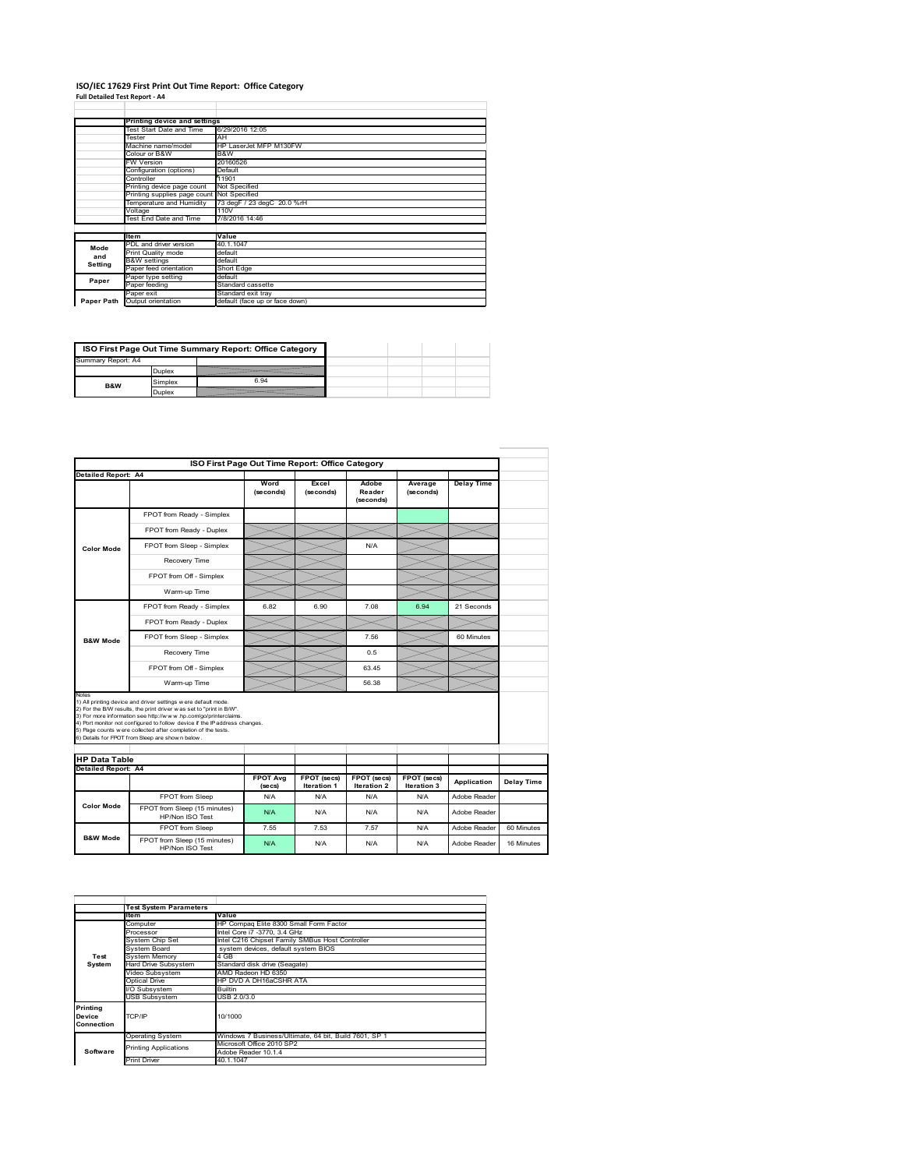#### **ISO/IEC 17629 First Print Out Time Report: Office Category Full Detailed Test Report ‐ A4**

|            | Printing device and settings               |                                |
|------------|--------------------------------------------|--------------------------------|
|            | Test Start Date and Time                   | 6/29/2016 12:05                |
|            | Tester                                     | AH                             |
|            | Machine name/model                         | HP LaserJet MFP M130FW         |
|            | Colour or B&W                              | B&W                            |
|            | <b>FW Version</b>                          | 20160526                       |
|            | Configuration (options)                    | Default                        |
|            | Controller                                 | 11901                          |
|            | Printing device page count                 | Not Specified                  |
|            | Printing supplies page count Not Specified |                                |
|            | Temperature and Humidity                   | 73 degF / 23 degC 20.0 %rH     |
|            | Voltage                                    | 110V                           |
|            | Test End Date and Time                     | 7/8/2016 14:46                 |
|            |                                            |                                |
|            | <b>Item</b>                                | Value                          |
| Mode       | PDL and driver version                     | 40.1.1047                      |
| and        | Print Quality mode                         | default                        |
| Setting    | <b>B&amp;W</b> settings                    | default                        |
|            | Paper feed orientation                     | Short Edge                     |
| Paper      | Paper type setting                         | default                        |
|            | Paper feeding                              | Standard cassette              |
|            | Paper exit                                 | Standard exit tray             |
| Paper Path | Output orientation                         | default (face up or face down) |

|                    |         | ISO First Page Out Time Summary Report: Office Category |
|--------------------|---------|---------------------------------------------------------|
| Summary Report: A4 |         |                                                         |
|                    | Duplex  |                                                         |
| B&W                | Simplex | 6.94                                                    |
|                    | Duplex  |                                                         |

|                            | ISO First Page Out Time Report: Office Category                                                                                                                                                                                                                                                                                                                                                             |                            |                                   |                                   |                            |                   |
|----------------------------|-------------------------------------------------------------------------------------------------------------------------------------------------------------------------------------------------------------------------------------------------------------------------------------------------------------------------------------------------------------------------------------------------------------|----------------------------|-----------------------------------|-----------------------------------|----------------------------|-------------------|
| Detailed Report: A4        |                                                                                                                                                                                                                                                                                                                                                                                                             |                            |                                   |                                   |                            |                   |
|                            |                                                                                                                                                                                                                                                                                                                                                                                                             | Word<br>(seconds)          | Excel<br>(seconds)                | Adobe<br>Reader<br>(seconds)      | Average<br>(seconds)       | <b>Delay Time</b> |
|                            | FPOT from Ready - Simplex                                                                                                                                                                                                                                                                                                                                                                                   |                            |                                   |                                   |                            |                   |
|                            | FPOT from Ready - Duplex                                                                                                                                                                                                                                                                                                                                                                                    |                            |                                   |                                   |                            |                   |
| <b>Color Mode</b>          | FPOT from Sleep - Simplex                                                                                                                                                                                                                                                                                                                                                                                   |                            |                                   | N/A                               |                            |                   |
|                            | Recovery Time                                                                                                                                                                                                                                                                                                                                                                                               |                            |                                   |                                   |                            |                   |
|                            | FPOT from Off - Simplex                                                                                                                                                                                                                                                                                                                                                                                     |                            |                                   |                                   |                            |                   |
|                            | Warm-up Time                                                                                                                                                                                                                                                                                                                                                                                                |                            |                                   |                                   |                            |                   |
|                            | FPOT from Ready - Simplex                                                                                                                                                                                                                                                                                                                                                                                   | 6.82                       | 6.90                              | 7.08                              | 6.94                       | 21 Seconds        |
|                            | FPOT from Ready - Duplex                                                                                                                                                                                                                                                                                                                                                                                    |                            |                                   |                                   |                            |                   |
| <b>B&amp;W Mode</b>        | FPOT from Sleep - Simplex                                                                                                                                                                                                                                                                                                                                                                                   |                            |                                   | 7.56                              |                            | 60 Minutes        |
|                            | Recovery Time                                                                                                                                                                                                                                                                                                                                                                                               |                            |                                   | 0.5                               |                            |                   |
|                            | FPOT from Off - Simplex                                                                                                                                                                                                                                                                                                                                                                                     |                            |                                   | 63.45                             |                            |                   |
|                            | Warm-up Time                                                                                                                                                                                                                                                                                                                                                                                                |                            |                                   | 56.38                             |                            |                   |
| Notes                      | 1) All printing device and driver settings w ere default mode.<br>2) For the B/W results, the print driver was set to "print in B/W".<br>3) For more information see http://www.hp.com/go/printerclaims.<br>4) Port monitor not configured to follow device if the IP address changes.<br>5) Page counts w ere collected after completion of the tests.<br>6) Details for FPOT from Sleep are show n below. |                            |                                   |                                   |                            |                   |
| <b>HP Data Table</b>       |                                                                                                                                                                                                                                                                                                                                                                                                             |                            |                                   |                                   |                            |                   |
| <b>Detailed Report: A4</b> |                                                                                                                                                                                                                                                                                                                                                                                                             |                            |                                   |                                   |                            |                   |
|                            |                                                                                                                                                                                                                                                                                                                                                                                                             | <b>FPOT Avg</b><br>(se cs) | FPOT (secs)<br><b>Iteration 1</b> | FPOT (secs)<br><b>Iteration 2</b> | FPOT (secs)<br>Iteration 3 | Application       |
|                            | FPOT from Sleep                                                                                                                                                                                                                                                                                                                                                                                             | N/A                        | N/A                               | N/A                               | N/A                        | Adobe Reader      |
| <b>Color Mode</b>          | FPOT from Sleep (15 minutes)<br>HP/Non ISO Test                                                                                                                                                                                                                                                                                                                                                             | N/A                        | N/A                               | N/A                               | N/A                        | Adobe Reader      |
|                            | FPOT from Sleep                                                                                                                                                                                                                                                                                                                                                                                             | 7.55                       | 7.53                              | 7.57                              | N/A                        | Adobe Reader      |
| <b>B&amp;W Mode</b>        | FPOT from Sleep (15 minutes)                                                                                                                                                                                                                                                                                                                                                                                | N/A                        | N/A                               | N/A                               | N/A                        | Adobe Reader      |

|                                  | <b>Test System Parameters</b> |                                                       |
|----------------------------------|-------------------------------|-------------------------------------------------------|
|                                  | <b>Item</b>                   | Value                                                 |
|                                  | Computer                      | HP Compaq Elite 8300 Small Form Factor                |
|                                  | Processor                     | Intel Core i7 -3770, 3.4 GHz                          |
|                                  | System Chip Set               | Intel C216 Chipset Family SMBus Host Controller       |
|                                  | System Board                  | system devices, default system BIOS                   |
| Test                             | <b>System Memory</b>          | 4 GB                                                  |
| System                           | Hard Drive Subsystem          | Standard disk drive (Seagate)                         |
|                                  | Video Subsystem               | AMD Radeon HD 6350                                    |
|                                  | Optical Drive                 | HP DVD A DH16aCSHR ATA                                |
|                                  | I/O Subsystem                 | <b>Builtin</b>                                        |
|                                  | <b>USB Subsystem</b>          | USB 2.0/3.0                                           |
| Printina<br>Device<br>Connection | TCP/IP                        | 10/1000                                               |
|                                  | <b>Operating System</b>       | Windows 7 Business/Ultimate, 64 bit, Build 7601, SP 1 |
|                                  | <b>Printing Applications</b>  | Microsoft Office 2010 SP2                             |
| Software                         |                               | Adobe Reader 10.1.4                                   |
|                                  | <b>Print Driver</b>           | 40.1.1047                                             |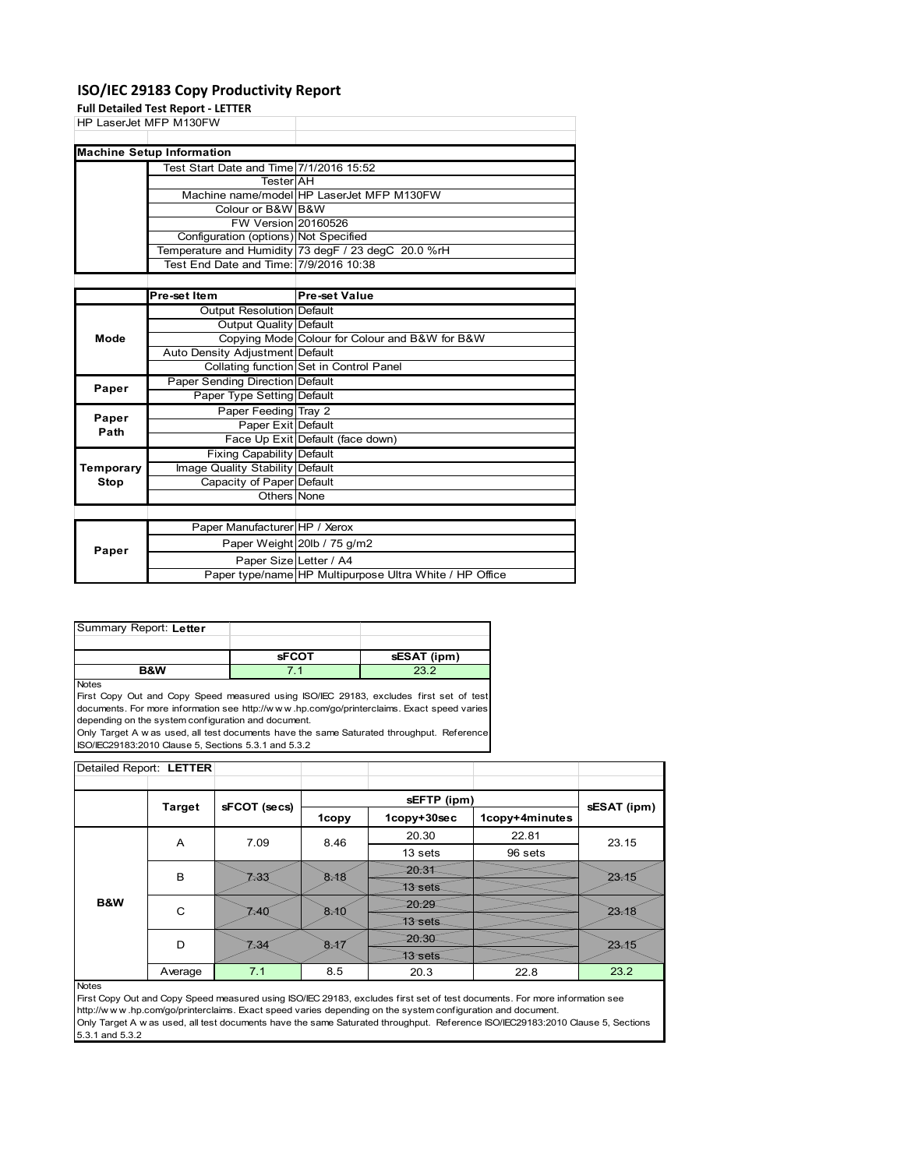### **ISO/IEC 29183 Copy Productivity Report**

**Full Detailed Test Report ‐ LETTER**

|       | HP LaserJet MFP M130FW                  |                                                     |
|-------|-----------------------------------------|-----------------------------------------------------|
|       |                                         |                                                     |
|       | <b>Machine Setup Information</b>        |                                                     |
|       | Test Start Date and Time 7/1/2016 15:52 |                                                     |
|       | <b>Tester</b> AH                        |                                                     |
|       |                                         | Machine name/model HP LaserJet MFP M130FW           |
|       | Colour or B&W B&W                       |                                                     |
|       | FW Version 20160526                     |                                                     |
|       | Configuration (options) Not Specified   |                                                     |
|       |                                         | Temperature and Humidity 73 degF / 23 degC 20.0 %rH |
|       | Test End Date and Time: 7/9/2016 10:38  |                                                     |
|       |                                         |                                                     |
|       | Pre-set Item                            | <b>Pre-set Value</b>                                |
|       |                                         |                                                     |
|       | <b>Output Resolution Default</b>        |                                                     |
|       | Output Quality Default                  |                                                     |
| Mode  |                                         | Copying Mode Colour for Colour and B&W for B&W      |
|       | Auto Density Adjustment Default         |                                                     |
|       |                                         | Collating function Set in Control Panel             |
|       | Paper Sending Direction Default         |                                                     |
| Paper | Paper Type Setting Default              |                                                     |
|       | Paper Feeding Tray 2                    |                                                     |
| Paper | Paper Exit Default                      |                                                     |
| Path  |                                         | Face Up Exit Default (face down)                    |
|       | <b>Fixing Capability Default</b>        |                                                     |

| <b>lemporary</b> | Image Quality Stability Default |                                                         |
|------------------|---------------------------------|---------------------------------------------------------|
| <b>Stop</b>      | Capacity of Paper Default       |                                                         |
|                  | Others None                     |                                                         |
|                  |                                 |                                                         |
|                  | Paper Manufacturer HP / Xerox   |                                                         |
| Paper            |                                 | Paper Weight 20lb / 75 g/m2                             |
|                  | Paper Size Letter / A4          |                                                         |
|                  |                                 | Paper type/name HP Multipurpose Ultra White / HP Office |
|                  |                                 |                                                         |

| Summary Report: Letter |              |             |
|------------------------|--------------|-------------|
|                        |              |             |
|                        |              |             |
|                        | <b>sFCOT</b> | sESAT (ipm) |

**Notes** 

First Copy Out and Copy Speed measured using ISO/IEC 29183, excludes first set of test documents. For more information see http://w w w .hp.com/go/printerclaims. Exact speed varies depending on the system configuration and document.

Only Target A w as used, all test documents have the same Saturated throughput. Reference ISO/IEC29183:2010 Clause 5, Sections 5.3.1 and 5.3.2

| Detailed Report: LETTER |               |              |       |             |                |             |  |
|-------------------------|---------------|--------------|-------|-------------|----------------|-------------|--|
|                         |               |              |       |             |                |             |  |
|                         | <b>Target</b> | sFCOT (secs) |       | sEFTP (ipm) |                | sESAT (ipm) |  |
|                         |               |              | 1copy | 1copy+30sec | 1copy+4minutes |             |  |
|                         | A             | 7.09         | 8.46  | 20.30       | 22.81          | 23.15       |  |
|                         |               |              |       | 13 sets     | 96 sets        |             |  |
|                         | B             | 533          | 8.⊀8  | 20.31       |                | 23.15       |  |
|                         |               |              |       | 13 sets     |                |             |  |
| B&W                     | C             | 540          | 8.∢0  | 20.29       |                | 23.18       |  |
|                         |               |              |       | 13 sets     |                |             |  |
|                         | D             | ≿34          | 8⊱⁄€  | 20.30       |                | 23.45       |  |
|                         |               |              |       | 13 sets     |                |             |  |
|                         | Average       | 7.1          | 8.5   | 20.3        | 22.8           | 23.2        |  |

#### Notes

First Copy Out and Copy Speed measured using ISO/IEC 29183, excludes first set of test documents. For more information see http://w w w .hp.com/go/printerclaims. Exact speed varies depending on the system configuration and document. Only Target A w as used, all test documents have the same Saturated throughput. Reference ISO/IEC29183:2010 Clause 5, Sections 5.3.1 and 5.3.2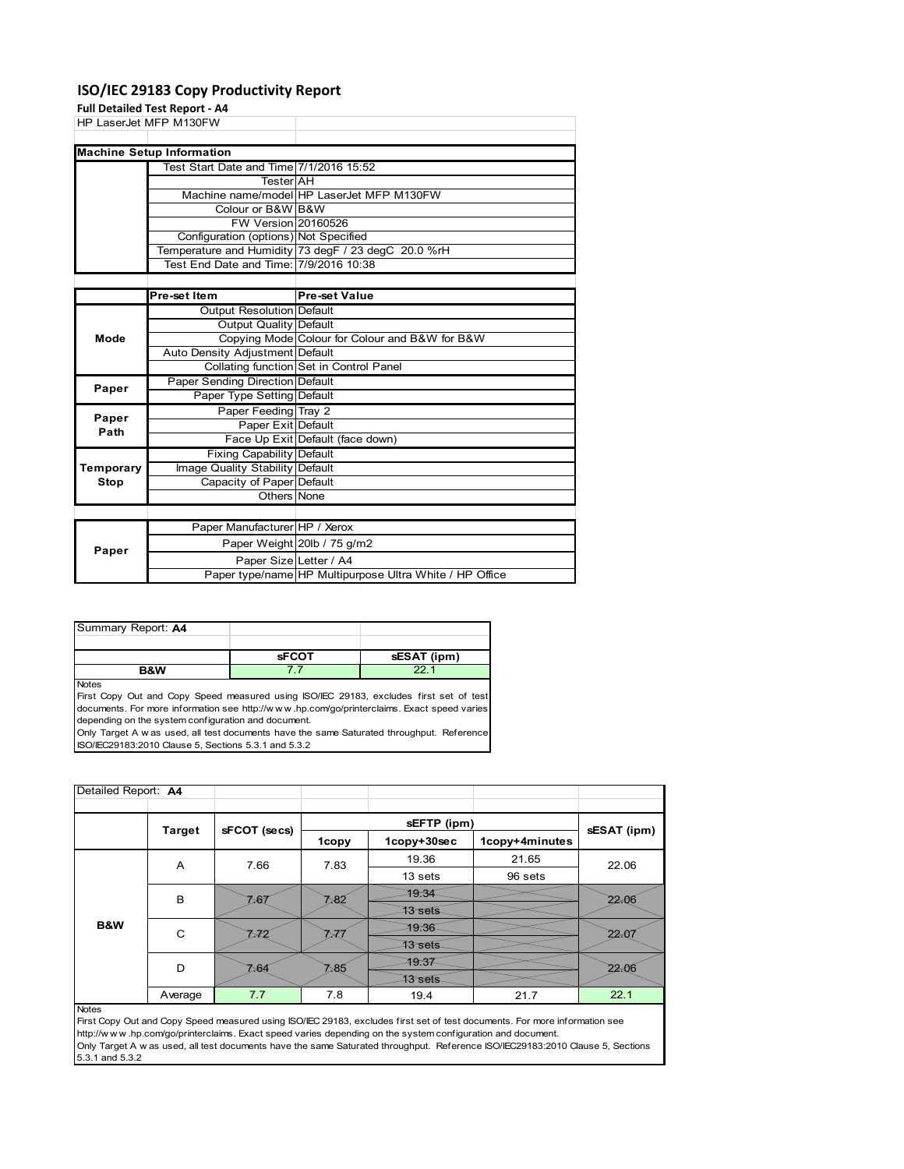### **ISO/IEC 29183 Copy Productivity Report**

**Full Detailed Test Report ‐ A4**

|             | an Betanea Test Report A+<br>HP LaserJet MFP M130FW |                                                     |
|-------------|-----------------------------------------------------|-----------------------------------------------------|
|             |                                                     |                                                     |
|             | <b>Machine Setup Information</b>                    |                                                     |
|             | Test Start Date and Time 7/1/2016 15:52             |                                                     |
|             | TesterIAH                                           |                                                     |
|             |                                                     | Machine name/model HP LaserJet MFP M130FW           |
|             | Colour or B&W B&W                                   |                                                     |
|             | FW Version 20160526                                 |                                                     |
|             | Configuration (options) Not Specified               |                                                     |
|             |                                                     | Temperature and Humidity 73 degF / 23 degC 20.0 %rH |
|             | Test End Date and Time: 7/9/2016 10:38              |                                                     |
|             |                                                     |                                                     |
|             | Pre-set Item                                        | <b>Pre-set Value</b>                                |
|             | Output Resolution Default                           |                                                     |
|             | Output Quality Default                              |                                                     |
| Mode        |                                                     | Copying Mode Colour for Colour and B&W for B&W      |
|             | Auto Density Adjustment Default                     |                                                     |
|             |                                                     | Collating function Set in Control Panel             |
| Paper       | Paper Sending Direction Default                     |                                                     |
|             | Paper Type Setting Default                          |                                                     |
| Paper       | Paper Feeding Tray 2                                |                                                     |
| Path        | Paper Exit Default                                  |                                                     |
|             |                                                     | Face Up Exit Default (face down)                    |
|             | <b>Fixing Capability Default</b>                    |                                                     |
| Temporary   | Image Quality Stability Default                     |                                                     |
| <b>Stop</b> | Capacity of Paper Default                           |                                                     |
|             | Others None                                         |                                                     |
|             |                                                     |                                                     |
|             | Paper Manufacturer HP / Xerox                       |                                                     |

| Paper |                        | Paper Weight 20lb / 75 g/m2                             |
|-------|------------------------|---------------------------------------------------------|
|       | Paper SizelLetter / A4 |                                                         |
|       |                        | Paper type/name HP Multipurpose Ultra White / HP Office |
|       |                        |                                                         |

| Summary Report: A4 |              |             |
|--------------------|--------------|-------------|
|                    |              |             |
|                    | <b>SFCOT</b> | sESAT (ipm) |
| <b>B&amp;W</b>     |              |             |

Notes

First Copy Out and Copy Speed measured using ISO/IEC 29183, excludes first set of test documents. For more information see http://w w w .hp.com/go/printerclaims. Exact speed varies depending on the system configuration and document.

Only Target A w as used, all test documents have the same Saturated throughput. Reference ISO/IEC29183:2010 Clause 5, Sections 5.3.1 and 5.3.2

| Detailed Report: A4 |               |              |       |                |                |             |  |
|---------------------|---------------|--------------|-------|----------------|----------------|-------------|--|
|                     |               |              |       | sEFTP (ipm)    |                |             |  |
|                     | <b>Target</b> | sFCOT (secs) | 1copy | 1copy+30sec    | 1copy+4minutes | sESAT (ipm) |  |
|                     | A             | 7.66         | 7.83  | 19.36          | 21.65          | 22.06       |  |
|                     |               |              |       | 13 sets        | 96 sets        |             |  |
|                     | B             | 7.67         | ≿82   | 79.34          |                | 22.06       |  |
|                     |               |              |       | 13 sets        |                |             |  |
| B&W                 | C             | -72          |       | 79.36          |                | 22.0        |  |
|                     |               |              |       | <b>13 sets</b> |                |             |  |
|                     | D             | ≿64          | ≿85   | 79.37          |                | 22.06       |  |
|                     |               |              |       | <b>73 sets</b> |                |             |  |
|                     | Average       | 7.7          | 7.8   | 19.4           | 21.7           | 22.1        |  |
| <b>Notes</b>        |               |              |       |                |                |             |  |

First Copy Out and Copy Speed measured using ISO/IEC 29183, excludes first set of test documents. For more information see http://w w w .hp.com/go/printerclaims. Exact speed varies depending on the system configuration and document. Only Target A w as used, all test documents have the same Saturated throughput. Reference ISO/IEC29183:2010 Clause 5, Sections 5.3.1 and 5.3.2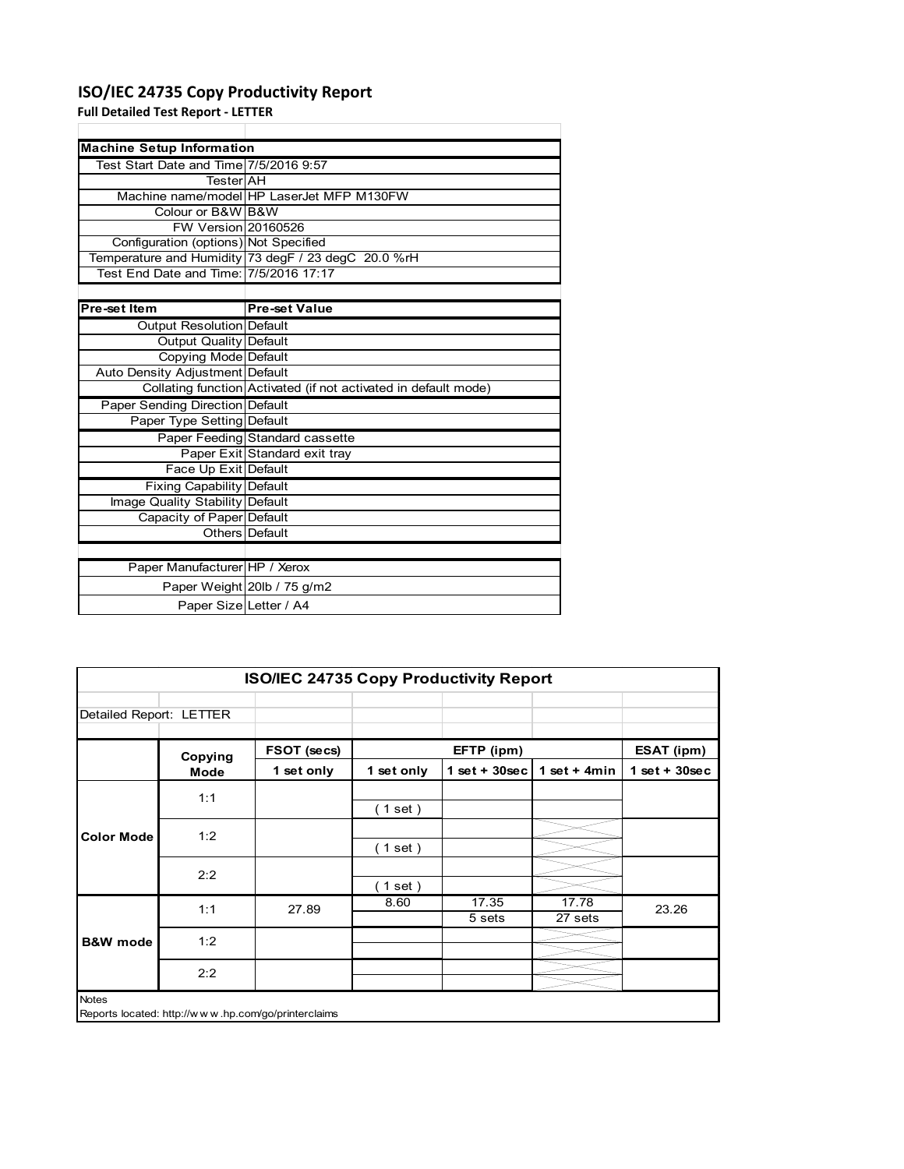## **ISO/IEC 24735 Copy Productivity Report**

**Full Detailed Test Report ‐ LETTER**

| <b>Machine Setup Information</b>       |                                                                 |
|----------------------------------------|-----------------------------------------------------------------|
| Test Start Date and Time 7/5/2016 9:57 |                                                                 |
| TesterlAH                              |                                                                 |
|                                        | Machine name/model HP LaserJet MFP M130FW                       |
| Colour or B&W B&W                      |                                                                 |
| FW Version 20160526                    |                                                                 |
| Configuration (options) Not Specified  |                                                                 |
|                                        | Temperature and Humidity 73 degF / 23 degC 20.0 %rH             |
| Test End Date and Time: 7/5/2016 17:17 |                                                                 |
|                                        |                                                                 |
| Pre-set Item                           | <b>Pre-set Value</b>                                            |
| Output Resolution Default              |                                                                 |
| <b>Output Quality Default</b>          |                                                                 |
| <b>Copying Mode Default</b>            |                                                                 |
| Auto Density Adjustment Default        |                                                                 |
|                                        | Collating function Activated (if not activated in default mode) |
| Paper Sending Direction Default        |                                                                 |
| Paper Type Setting Default             |                                                                 |
|                                        | Paper Feeding Standard cassette                                 |
|                                        | Paper Exit Standard exit tray                                   |
| Face Up Exit Default                   |                                                                 |
| <b>Fixing Capability Default</b>       |                                                                 |
| Image Quality Stability Default        |                                                                 |
| Capacity of Paper Default              |                                                                 |
|                                        | Others Default                                                  |
|                                        |                                                                 |
| Paper Manufacturer HP / Xerox          |                                                                 |
|                                        | Paper Weight 20lb / 75 g/m2                                     |
| Paper Size Letter / A4                 |                                                                 |

|                         |                                                     | <b>ISO/IEC 24735 Copy Productivity Report</b> |            |                  |                  |                 |
|-------------------------|-----------------------------------------------------|-----------------------------------------------|------------|------------------|------------------|-----------------|
| Detailed Report: LETTER |                                                     |                                               |            |                  |                  |                 |
|                         | Copying                                             | FSOT (secs)                                   |            | EFTP (ipm)       |                  | ESAT (ipm)      |
|                         | Mode                                                | 1 set only                                    | 1 set only | 1 set + $30$ sec | 1 set + $4min$   | $1$ set + 30sec |
|                         | 1:1                                                 |                                               | (1 set)    |                  |                  |                 |
| <b>Color Mode</b>       | 1:2                                                 |                                               | (1 set)    |                  |                  |                 |
|                         | 2:2                                                 |                                               | (1 set)    |                  |                  |                 |
|                         | 1:1                                                 | 27.89                                         | 8.60       | 17.35<br>5 sets  | 17.78<br>27 sets | 23.26           |
| <b>B&amp;W</b> mode     | 1:2                                                 |                                               |            |                  |                  |                 |
|                         | 2:2                                                 |                                               |            |                  |                  |                 |
| <b>Notes</b>            | Reports located: http://www.hp.com/go/printerclaims |                                               |            |                  |                  |                 |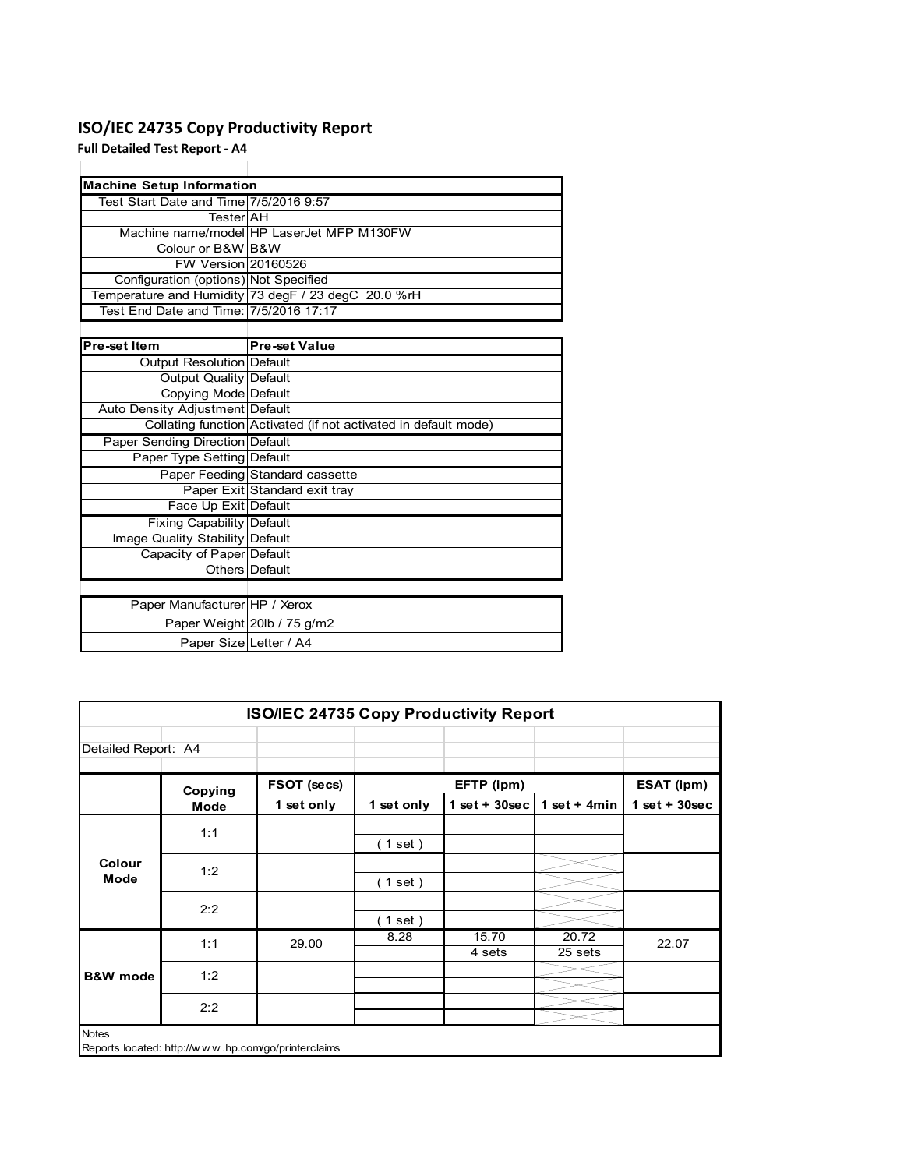## **ISO/IEC 24735 Copy Productivity Report**

**Full Detailed Test Report ‐ A4**

| <b>Machine Setup Information</b>       |                                                                 |
|----------------------------------------|-----------------------------------------------------------------|
| Test Start Date and Time 7/5/2016 9:57 |                                                                 |
| TesterlAH                              |                                                                 |
|                                        | Machine name/model HP LaserJet MFP M130FW                       |
| Colour or B&W B&W                      |                                                                 |
| <b>FW Version 20160526</b>             |                                                                 |
| Configuration (options) Not Specified  |                                                                 |
|                                        | Temperature and Humidity 73 degF / 23 degC 20.0 %rH             |
| Test End Date and Time: 7/5/2016 17:17 |                                                                 |
|                                        |                                                                 |
| Pre-set Item                           | <b>Pre-set Value</b>                                            |
| Output Resolution Default              |                                                                 |
| Output Quality Default                 |                                                                 |
| Copying Mode Default                   |                                                                 |
| Auto Density Adjustment Default        |                                                                 |
|                                        | Collating function Activated (if not activated in default mode) |
| <b>Paper Sending Direction Default</b> |                                                                 |
| Paper Type Setting Default             |                                                                 |
|                                        | Paper Feeding Standard cassette                                 |
|                                        | Paper Exit Standard exit tray                                   |
| Face Up Exit Default                   |                                                                 |
| <b>Fixing Capability Default</b>       |                                                                 |
| Image Quality Stability Default        |                                                                 |
| Capacity of Paper Default              |                                                                 |
|                                        | Others   Default                                                |
|                                        |                                                                 |
| Paper Manufacturer HP / Xerox          |                                                                 |
|                                        | Paper Weight 20lb / 75 g/m2                                     |
| Paper Size Letter / A4                 |                                                                 |

| <b>ISO/IEC 24735 Copy Productivity Report</b> |                                                     |             |            |                 |                  |                       |  |
|-----------------------------------------------|-----------------------------------------------------|-------------|------------|-----------------|------------------|-----------------------|--|
| Detailed Report: A4                           |                                                     |             |            |                 |                  |                       |  |
|                                               | Copying                                             | FSOT (secs) |            | EFTP (ipm)      |                  | ESAT <sub>(ipm)</sub> |  |
|                                               | Mode                                                | 1 set only  | 1 set only | $1$ set + 30sec | 1 set + $4min$   | $1$ set + 30sec       |  |
|                                               | 1:1                                                 |             | $1$ set)   |                 |                  |                       |  |
| Colour<br><b>Mode</b>                         | 1:2                                                 |             | (1 set)    |                 |                  |                       |  |
|                                               | 2:2                                                 |             | $1$ set)   |                 |                  |                       |  |
|                                               | 1:1                                                 | 29.00       | 8.28       | 15.70<br>4 sets | 20.72<br>25 sets | 22.07                 |  |
| <b>B&amp;W</b> mode                           | 1:2                                                 |             |            |                 |                  |                       |  |
|                                               | 2:2                                                 |             |            |                 |                  |                       |  |
| <b>Notes</b>                                  | Reports located: http://www.hp.com/go/printerclaims |             |            |                 |                  |                       |  |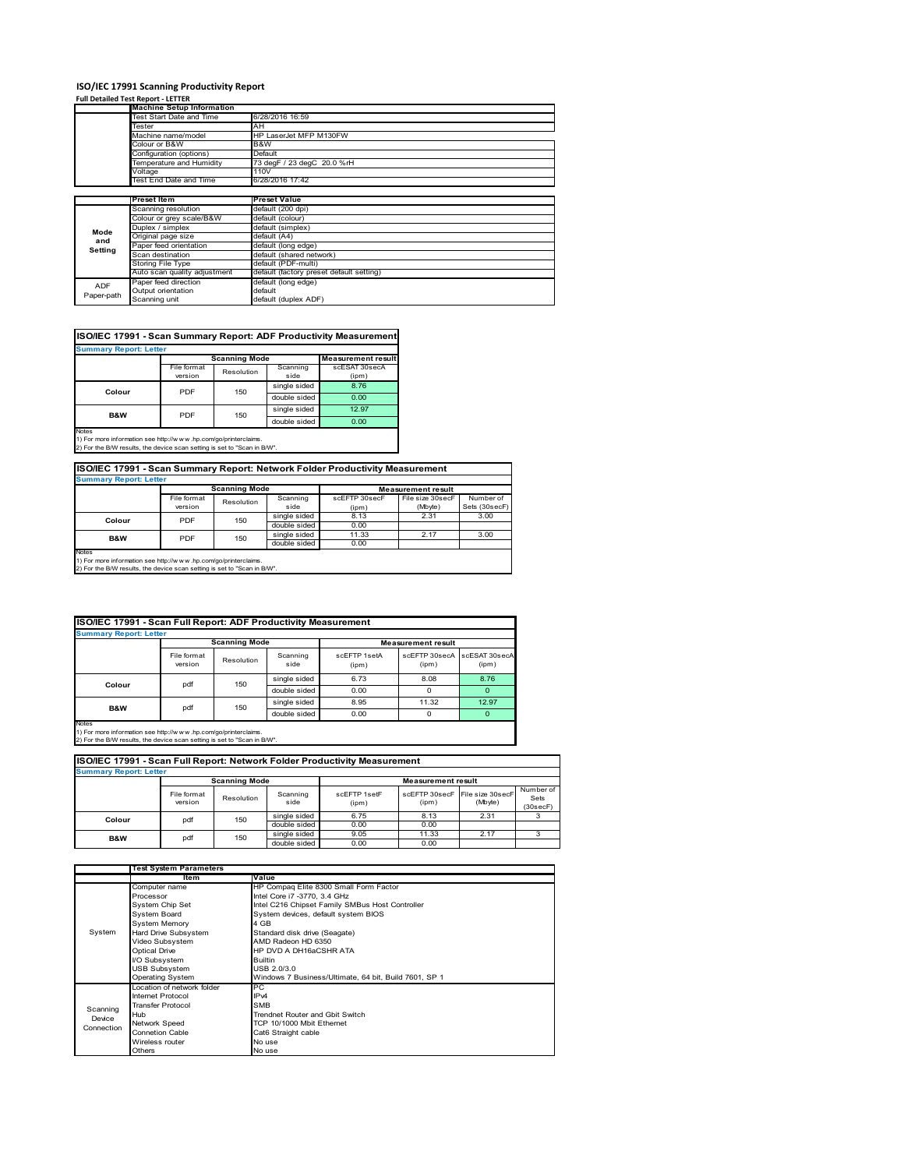#### **ISO/IEC 17991 Scanning Productivity Report**

| <b>Full Detailed Test Report - LETTER</b> |  |  |  |  |
|-------------------------------------------|--|--|--|--|
|                                           |  |  |  |  |

|                          | <b>Machine Setup Information</b>    |                                          |
|--------------------------|-------------------------------------|------------------------------------------|
|                          | Test Start Date and Time            | 6/28/2016 16:59                          |
| Tester                   |                                     | AH                                       |
| Machine name/model       |                                     | HP LaserJet MFP M130FW                   |
| Colour or B&W            |                                     | B&W                                      |
|                          | Configuration (options)             | Default                                  |
|                          | Temperature and Humidity            | 73 degF / 23 degC 20.0 %rH               |
|                          | Voltage                             | 110V                                     |
|                          | Test End Date and Time              | 6/28/2016 17:42                          |
|                          |                                     |                                          |
|                          | <b>Preset Item</b>                  | <b>Preset Value</b>                      |
|                          | Scanning resolution                 | default (200 dpi)                        |
|                          | Colour or grey scale/B&W            | default (colour)                         |
|                          |                                     |                                          |
|                          | Duplex / simplex                    | default (simplex)                        |
| Mode                     | Original page size                  | default (A4)                             |
| and                      | Paper feed orientation              | default (long edge)                      |
| Setting                  | Scan destination                    | default (shared network)                 |
|                          | Storing File Type                   | default (PDF-multi)                      |
|                          | Auto scan quality adjustment        | default (factory preset default setting) |
|                          | Paper feed direction                | default (long edge)                      |
| <b>ADF</b><br>Paper-path | Output orientation<br>Scanning unit | default<br>default (duplex ADF)          |

| ISO/IEC 17991 - Scan Summary Report: ADF Productivity Measurement |
|-------------------------------------------------------------------|
|                                                                   |

| <b>Summary Report: Letter</b>                                                                                                                               | <b>Scanning Mode</b>   | <b>Measurement result</b> |                  |                        |  |
|-------------------------------------------------------------------------------------------------------------------------------------------------------------|------------------------|---------------------------|------------------|------------------------|--|
|                                                                                                                                                             | File format<br>version | Resolution                | Scanning<br>side | scESAT 30secA<br>(ipm) |  |
| Colour                                                                                                                                                      | PDF                    | 150                       | single sided     | 8.76                   |  |
|                                                                                                                                                             |                        |                           | double sided     | 0.00                   |  |
| <b>B&amp;W</b>                                                                                                                                              | PDF                    | 150                       | single sided     | 12.97                  |  |
|                                                                                                                                                             |                        |                           | double sided     | 0.00                   |  |
| <b>Notes</b><br>1) For more information see http://www.hp.com/go/printerclaims.<br>2) For the B/W results, the device scan setting is set to "Scan in B/W". |                        |                           |                  |                        |  |

| ISO/IEC 17991 - Scan Summary Report: Network Folder Productivity Measurement |                        |            |                  |                        |                             |                            |  |  |
|------------------------------------------------------------------------------|------------------------|------------|------------------|------------------------|-----------------------------|----------------------------|--|--|
| <b>Summary Report: Letter</b>                                                |                        |            |                  |                        |                             |                            |  |  |
| <b>Scanning Mode</b><br><b>Measurement result</b>                            |                        |            |                  |                        |                             |                            |  |  |
|                                                                              | File format<br>version | Resolution | Scanning<br>side | scEFTP 30secF<br>(ipm) | File size 30secF<br>(Mbyte) | Number of<br>Sets (30secF) |  |  |
| Colour                                                                       | PDF                    | 150        | single sided     | 8.13                   | 2.31                        | 3.00                       |  |  |
|                                                                              |                        |            | double sided     | 0.00                   |                             |                            |  |  |
| B&W                                                                          | PDF                    | 150        | single sided     | 11.33                  | 2.17                        | 3.00                       |  |  |
|                                                                              |                        |            | double sided     | 0.00                   |                             |                            |  |  |

Notes 1) For more information see http://w w w .hp.com/go/printerclaims. 2) For the B/W results, the device scan setting is set to "Scan in B/W".

| ISO/IEC 17991 - Scan Full Report: ADF Productivity Measurement |                        |                      |                  |                       |                           |                        |  |
|----------------------------------------------------------------|------------------------|----------------------|------------------|-----------------------|---------------------------|------------------------|--|
| <b>Summary Report: Letter</b>                                  |                        |                      |                  |                       |                           |                        |  |
|                                                                |                        | <b>Scanning Mode</b> |                  |                       | <b>Measurement result</b> |                        |  |
|                                                                | File format<br>version | Resolution           | Scanning<br>side | scFFTP 1setA<br>(ipm) | scEFTP 30secA<br>(ipm)    | scESAT 30secA<br>(ipm) |  |
|                                                                | pdf<br>Colour          | 150                  | single sided     | 6.73                  | 8.08                      | 8.76                   |  |
|                                                                |                        |                      | double sided     | 0.00                  |                           |                        |  |
| <b>B&amp;W</b><br>pdf<br>$\overline{a}$                        | 150                    | single sided         | 8.95             | 11.32                 | 12.97                     |                        |  |
|                                                                |                        |                      | double sided     | 0.00                  |                           |                        |  |

Notes 1) For more information see http://w w w .hp.com/go/printerclaims. 2) For the B/W results, the device scan setting is set to "Scan in B/W".

| ISO/IEC 17991 - Scan Full Report: Network Folder Productivity Measurement |                        |                      |                  |                       |                                         |         |                               |  |  |
|---------------------------------------------------------------------------|------------------------|----------------------|------------------|-----------------------|-----------------------------------------|---------|-------------------------------|--|--|
| <b>Summary Report: Letter</b>                                             |                        |                      |                  |                       |                                         |         |                               |  |  |
|                                                                           |                        | <b>Scanning Mode</b> |                  |                       | <b>Measurement result</b>               |         |                               |  |  |
|                                                                           | File format<br>version | Resolution           | Scanning<br>side | scFFTP 1setF<br>(ipm) | scEETP 30secE File size 30secE<br>(ipm) | (Mbyte) | Number of<br>Sets<br>(30secF) |  |  |
| Colour                                                                    | pdf                    | 150                  | single sided     | 6.75                  | 8.13                                    | 2.31    |                               |  |  |
|                                                                           |                        | double sided         | 0.00             | 0.00                  |                                         |         |                               |  |  |
| pdf<br><b>B&amp;W</b>                                                     |                        | 150                  | single sided     | 9.05                  | 11.33                                   | 2.17    |                               |  |  |
|                                                                           |                        |                      | double sided     | 0.00                  | 0.00                                    |         |                               |  |  |

|            | <b>Test System Parameters</b> |                                                       |  |  |  |
|------------|-------------------------------|-------------------------------------------------------|--|--|--|
|            | Item                          | Value                                                 |  |  |  |
|            | Computer name                 | HP Compaq Elite 8300 Small Form Factor                |  |  |  |
|            | Processor                     | Intel Core i7 -3770, 3.4 GHz                          |  |  |  |
|            | System Chip Set               | Intel C216 Chipset Family SMBus Host Controller       |  |  |  |
|            | System Board                  | System devices, default system BIOS                   |  |  |  |
|            | <b>System Memory</b>          | 4 GB                                                  |  |  |  |
| System     | Hard Drive Subsystem          | Standard disk drive (Seagate)                         |  |  |  |
|            | Video Subsystem               | AMD Radeon HD 6350                                    |  |  |  |
|            | <b>Optical Drive</b>          | HP DVD A DH16aCSHR ATA                                |  |  |  |
|            | I/O Subsystem                 | <b>Builtin</b>                                        |  |  |  |
|            | <b>USB Subsystem</b>          | USB 2.0/3.0                                           |  |  |  |
|            | <b>Operating System</b>       | Windows 7 Business/Ultimate, 64 bit, Build 7601, SP 1 |  |  |  |
|            | Location of network folder    | PC                                                    |  |  |  |
|            | Internet Protocol             | IP <sub>v4</sub>                                      |  |  |  |
| Scanning   | <b>Transfer Protocol</b>      | SMB                                                   |  |  |  |
| Device     | Hub                           | Trendnet Router and Gbit Switch                       |  |  |  |
| Connection | Network Speed                 | TCP 10/1000 Mbit Ethernet                             |  |  |  |
|            | <b>Connetion Cable</b>        | Cat6 Straight cable                                   |  |  |  |
|            | Wireless router               | No use                                                |  |  |  |
|            | Others                        | No use                                                |  |  |  |